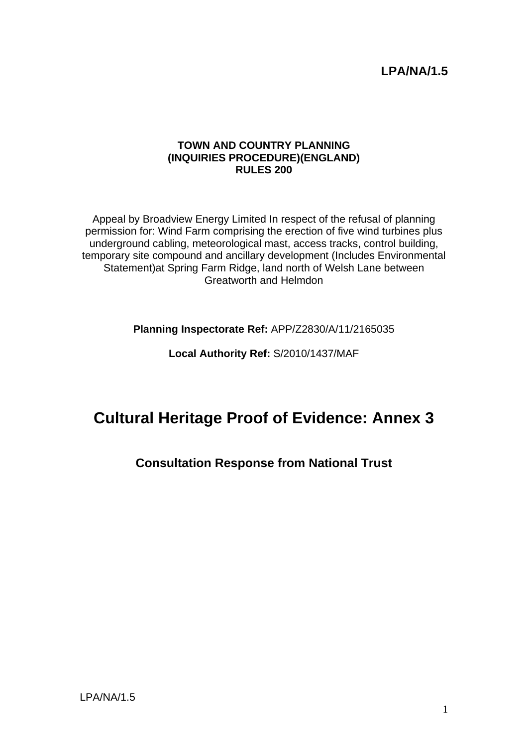## **LPA/NA/1.5**

#### **TOWN AND COUNTRY PLANNING (INQUIRIES PROCEDURE)(ENGLAND) RULES 200**

Appeal by Broadview Energy Limited In respect of the refusal of planning permission for: Wind Farm comprising the erection of five wind turbines plus underground cabling, meteorological mast, access tracks, control building, temporary site compound and ancillary development (Includes Environmental Statement)at Spring Farm Ridge, land north of Welsh Lane between Greatworth and Helmdon

**Planning Inspectorate Ref:** APP/Z2830/A/11/2165035

**Local Authority Ref:** S/2010/1437/MAF

# **Cultural Heritage Proof of Evidence: Annex 3**

## **Consultation Response from National Trust**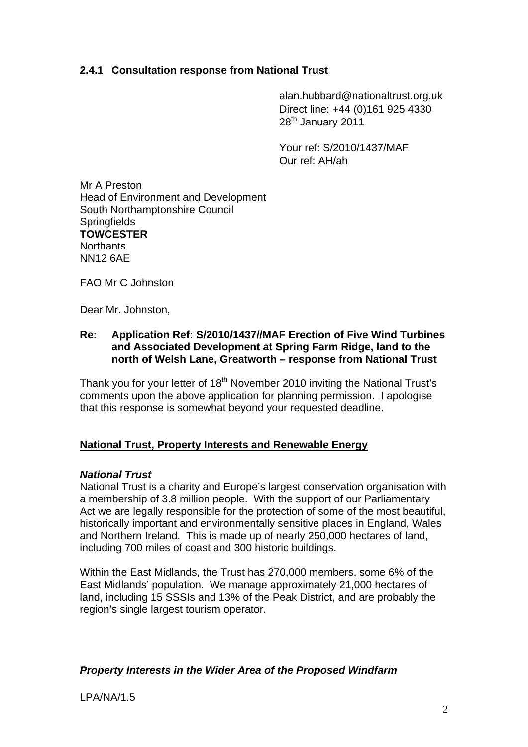### **2.4.1 Consultation response from National Trust**

alan.hubbard@nationaltrust.org.uk Direct line: +44 (0)161 925 4330 28<sup>th</sup> January 2011

Your ref: S/2010/1437/MAF Our ref: AH/ah

Mr A Preston Head of Environment and Development South Northamptonshire Council **Springfields TOWCESTER Northants** NN12 6AE

FAO Mr C Johnston

Dear Mr. Johnston,

#### **Re: Application Ref: S/2010/1437//MAF Erection of Five Wind Turbines and Associated Development at Spring Farm Ridge, land to the north of Welsh Lane, Greatworth – response from National Trust**

Thank you for your letter of  $18<sup>th</sup>$  November 2010 inviting the National Trust's comments upon the above application for planning permission. I apologise that this response is somewhat beyond your requested deadline.

#### **National Trust, Property Interests and Renewable Energy**

#### *National Trust*

National Trust is a charity and Europe's largest conservation organisation with a membership of 3.8 million people. With the support of our Parliamentary Act we are legally responsible for the protection of some of the most beautiful, historically important and environmentally sensitive places in England, Wales and Northern Ireland. This is made up of nearly 250,000 hectares of land, including 700 miles of coast and 300 historic buildings.

Within the East Midlands, the Trust has 270,000 members, some 6% of the East Midlands' population. We manage approximately 21,000 hectares of land, including 15 SSSIs and 13% of the Peak District, and are probably the region's single largest tourism operator.

#### *Property Interests in the Wider Area of the Proposed Windfarm*

LPA/NA/1.5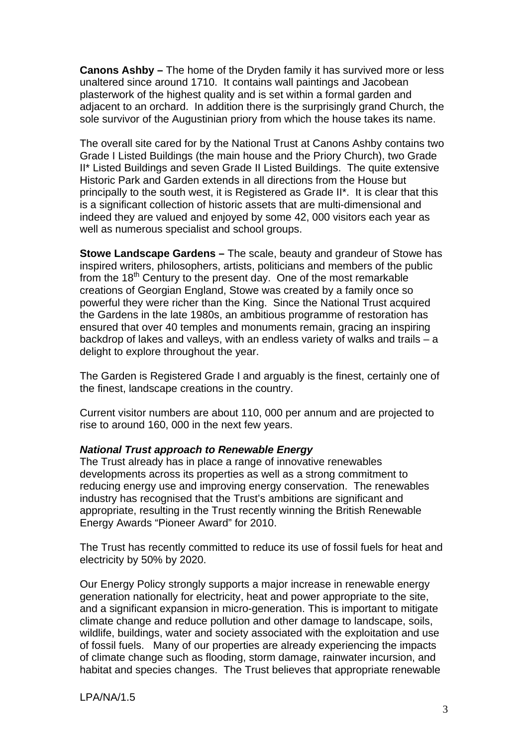**Canons Ashby –** The home of the Dryden family it has survived more or less unaltered since around 1710. It contains wall paintings and Jacobean plasterwork of the highest quality and is set within a formal garden and adjacent to an orchard. In addition there is the surprisingly grand Church, the sole survivor of the Augustinian priory from which the house takes its name.

The overall site cared for by the National Trust at Canons Ashby contains two Grade I Listed Buildings (the main house and the Priory Church), two Grade II\* Listed Buildings and seven Grade II Listed Buildings. The quite extensive Historic Park and Garden extends in all directions from the House but principally to the south west, it is Registered as Grade II\*. It is clear that this is a significant collection of historic assets that are multi-dimensional and indeed they are valued and enjoyed by some 42, 000 visitors each year as well as numerous specialist and school groups.

**Stowe Landscape Gardens –** The scale, beauty and grandeur of Stowe has inspired writers, philosophers, artists, politicians and members of the public from the 18<sup>th</sup> Century to the present day. One of the most remarkable creations of Georgian England, Stowe was created by a family once so powerful they were richer than the King. Since the National Trust acquired the Gardens in the late 1980s, an ambitious programme of restoration has ensured that over 40 temples and monuments remain, gracing an inspiring backdrop of lakes and valleys, with an endless variety of walks and trails – a delight to explore throughout the year.

The Garden is Registered Grade I and arguably is the finest, certainly one of the finest, landscape creations in the country.

Current visitor numbers are about 110, 000 per annum and are projected to rise to around 160, 000 in the next few years.

#### *National Trust approach to Renewable Energy*

The Trust already has in place a range of innovative renewables developments across its properties as well as a strong commitment to reducing energy use and improving energy conservation. The renewables industry has recognised that the Trust's ambitions are significant and appropriate, resulting in the Trust recently winning the British Renewable Energy Awards "Pioneer Award" for 2010.

The Trust has recently committed to reduce its use of fossil fuels for heat and electricity by 50% by 2020.

Our Energy Policy strongly supports a major increase in renewable energy generation nationally for electricity, heat and power appropriate to the site, and a significant expansion in micro-generation. This is important to mitigate climate change and reduce pollution and other damage to landscape, soils, wildlife, buildings, water and society associated with the exploitation and use of fossil fuels. Many of our properties are already experiencing the impacts of climate change such as flooding, storm damage, rainwater incursion, and habitat and species changes. The Trust believes that appropriate renewable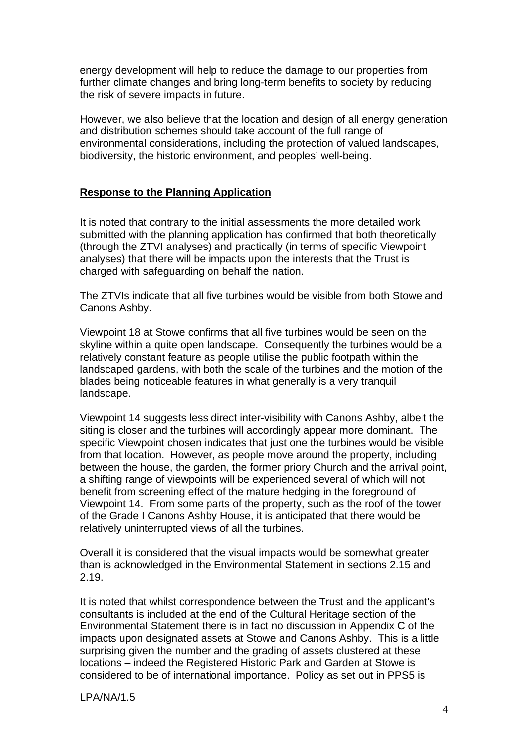energy development will help to reduce the damage to our properties from further climate changes and bring long-term benefits to society by reducing the risk of severe impacts in future.

However, we also believe that the location and design of all energy generation and distribution schemes should take account of the full range of environmental considerations, including the protection of valued landscapes, biodiversity, the historic environment, and peoples' well-being.

#### **Response to the Planning Application**

It is noted that contrary to the initial assessments the more detailed work submitted with the planning application has confirmed that both theoretically (through the ZTVI analyses) and practically (in terms of specific Viewpoint analyses) that there will be impacts upon the interests that the Trust is charged with safeguarding on behalf the nation.

The ZTVIs indicate that all five turbines would be visible from both Stowe and Canons Ashby.

Viewpoint 18 at Stowe confirms that all five turbines would be seen on the skyline within a quite open landscape. Consequently the turbines would be a relatively constant feature as people utilise the public footpath within the landscaped gardens, with both the scale of the turbines and the motion of the blades being noticeable features in what generally is a very tranquil landscape.

Viewpoint 14 suggests less direct inter-visibility with Canons Ashby, albeit the siting is closer and the turbines will accordingly appear more dominant. The specific Viewpoint chosen indicates that just one the turbines would be visible from that location. However, as people move around the property, including between the house, the garden, the former priory Church and the arrival point, a shifting range of viewpoints will be experienced several of which will not benefit from screening effect of the mature hedging in the foreground of Viewpoint 14. From some parts of the property, such as the roof of the tower of the Grade I Canons Ashby House, it is anticipated that there would be relatively uninterrupted views of all the turbines.

Overall it is considered that the visual impacts would be somewhat greater than is acknowledged in the Environmental Statement in sections 2.15 and 2.19.

It is noted that whilst correspondence between the Trust and the applicant's consultants is included at the end of the Cultural Heritage section of the Environmental Statement there is in fact no discussion in Appendix C of the impacts upon designated assets at Stowe and Canons Ashby. This is a little surprising given the number and the grading of assets clustered at these locations – indeed the Registered Historic Park and Garden at Stowe is considered to be of international importance. Policy as set out in PPS5 is

LPA/NA/1.5